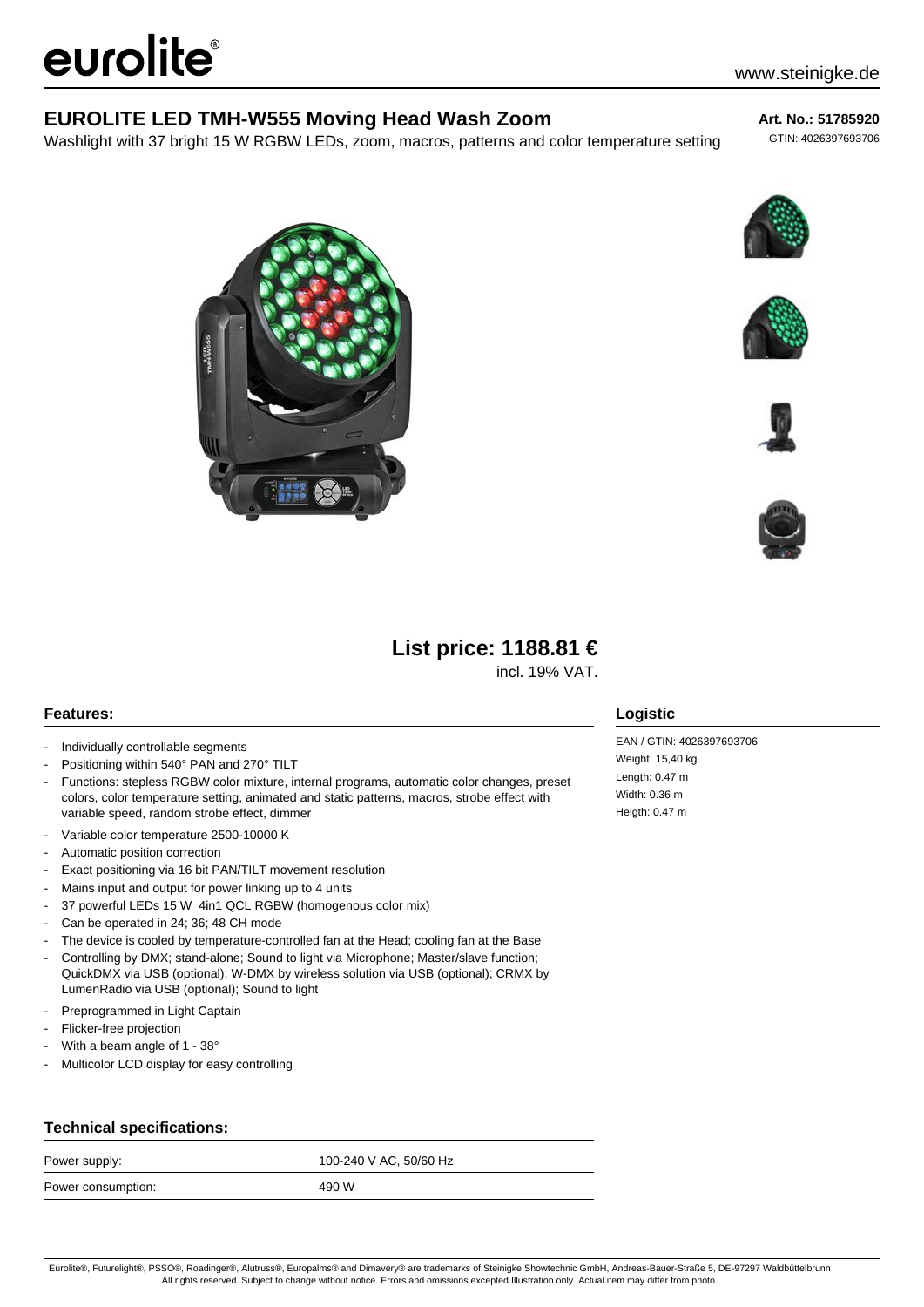# eurolite®

## **EUROLITE LED TMH-W555 Moving Head Wash Zoom**

Washlight with 37 bright 15 W RGBW LEDs, zoom, macros, patterns and color temperature setting

#### **Art. No.: 51785920**

GTIN: 4026397693706











## **List price: 1188.81 €**

incl. 19% VAT.

### **Features:**

- Individually controllable segments
- Positioning within 540° PAN and 270° TILT
- Functions: stepless RGBW color mixture, internal programs, automatic color changes, preset colors, color temperature setting, animated and static patterns, macros, strobe effect with variable speed, random strobe effect, dimmer
- Variable color temperature 2500-10000 K
- Automatic position correction
- Exact positioning via 16 bit PAN/TILT movement resolution
- Mains input and output for power linking up to 4 units
- 37 powerful LEDs 15 W 4in1 QCL RGBW (homogenous color mix)
- Can be operated in 24; 36; 48 CH mode
- The device is cooled by temperature-controlled fan at the Head; cooling fan at the Base
- Controlling by DMX; stand-alone; Sound to light via Microphone; Master/slave function; QuickDMX via USB (optional); W-DMX by wireless solution via USB (optional); CRMX by
- LumenRadio via USB (optional); Sound to light
- Preprogrammed in Light Captain
- Flicker-free projection
- With a beam angle of 1 38°
- Multicolor LCD display for easy controlling

## **Technical specifications:**

| Power supply:      | 100-240 V AC, 50/60 Hz |
|--------------------|------------------------|
| Power consumption: | 490 W                  |

## **Logistic**

EAN / GTIN: 4026397693706 Weight: 15,40 kg Length: 0.47 m Width: 0.36 m Heigth: 0.47 m

Eurolite®, Futurelight®, PSSO®, Roadinger®, Alutruss®, Europalms® and Dimavery® are trademarks of Steinigke Showtechnic GmbH, Andreas-Bauer-Straße 5, DE-97297 Waldbüttelbrunn All rights reserved. Subject to change without notice. Errors and omissions excepted.Illustration only. Actual item may differ from photo.